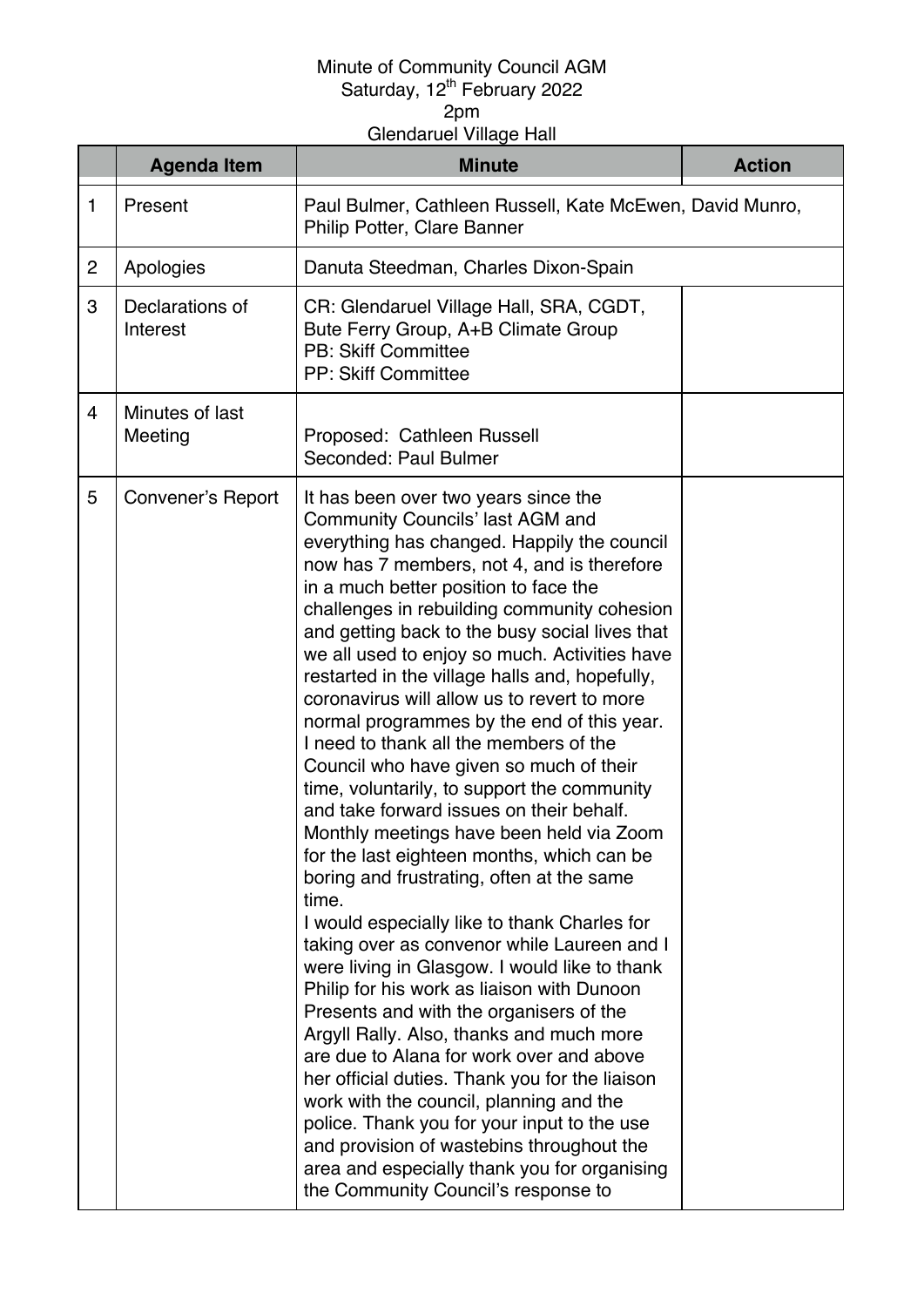## Minute of Community Council AGM Saturday, 12<sup>th</sup> February 2022

2pm

Glendaruel Village Hall

|                | <b>Agenda Item</b>          | <b>Minute</b>                                                                                                                                                                                                                                                                                                                                                                                                                                                                                                                                                                                                                                                                                                                                                                                                                                                                                                                                                                                                                                                                                                                                                                                                                                                                                                                                                                                                                                                           | <b>Action</b> |
|----------------|-----------------------------|-------------------------------------------------------------------------------------------------------------------------------------------------------------------------------------------------------------------------------------------------------------------------------------------------------------------------------------------------------------------------------------------------------------------------------------------------------------------------------------------------------------------------------------------------------------------------------------------------------------------------------------------------------------------------------------------------------------------------------------------------------------------------------------------------------------------------------------------------------------------------------------------------------------------------------------------------------------------------------------------------------------------------------------------------------------------------------------------------------------------------------------------------------------------------------------------------------------------------------------------------------------------------------------------------------------------------------------------------------------------------------------------------------------------------------------------------------------------------|---------------|
| $\mathbf{1}$   | Present                     | Paul Bulmer, Cathleen Russell, Kate McEwen, David Munro,<br>Philip Potter, Clare Banner                                                                                                                                                                                                                                                                                                                                                                                                                                                                                                                                                                                                                                                                                                                                                                                                                                                                                                                                                                                                                                                                                                                                                                                                                                                                                                                                                                                 |               |
| $\overline{2}$ | Apologies                   | Danuta Steedman, Charles Dixon-Spain                                                                                                                                                                                                                                                                                                                                                                                                                                                                                                                                                                                                                                                                                                                                                                                                                                                                                                                                                                                                                                                                                                                                                                                                                                                                                                                                                                                                                                    |               |
| 3              | Declarations of<br>Interest | CR: Glendaruel Village Hall, SRA, CGDT,<br>Bute Ferry Group, A+B Climate Group<br><b>PB: Skiff Committee</b><br><b>PP: Skiff Committee</b>                                                                                                                                                                                                                                                                                                                                                                                                                                                                                                                                                                                                                                                                                                                                                                                                                                                                                                                                                                                                                                                                                                                                                                                                                                                                                                                              |               |
| $\overline{4}$ | Minutes of last<br>Meeting  | Proposed: Cathleen Russell<br>Seconded: Paul Bulmer                                                                                                                                                                                                                                                                                                                                                                                                                                                                                                                                                                                                                                                                                                                                                                                                                                                                                                                                                                                                                                                                                                                                                                                                                                                                                                                                                                                                                     |               |
| 5              | Convener's Report           | It has been over two years since the<br><b>Community Councils' last AGM and</b><br>everything has changed. Happily the council<br>now has 7 members, not 4, and is therefore<br>in a much better position to face the<br>challenges in rebuilding community cohesion<br>and getting back to the busy social lives that<br>we all used to enjoy so much. Activities have<br>restarted in the village halls and, hopefully,<br>coronavirus will allow us to revert to more<br>normal programmes by the end of this year.<br>I need to thank all the members of the<br>Council who have given so much of their<br>time, voluntarily, to support the community<br>and take forward issues on their behalf.<br>Monthly meetings have been held via Zoom<br>for the last eighteen months, which can be<br>boring and frustrating, often at the same<br>time.<br>I would especially like to thank Charles for<br>taking over as convenor while Laureen and I<br>were living in Glasgow. I would like to thank<br>Philip for his work as liaison with Dunoon<br>Presents and with the organisers of the<br>Argyll Rally. Also, thanks and much more<br>are due to Alana for work over and above<br>her official duties. Thank you for the liaison<br>work with the council, planning and the<br>police. Thank you for your input to the use<br>and provision of wastebins throughout the<br>area and especially thank you for organising<br>the Community Council's response to |               |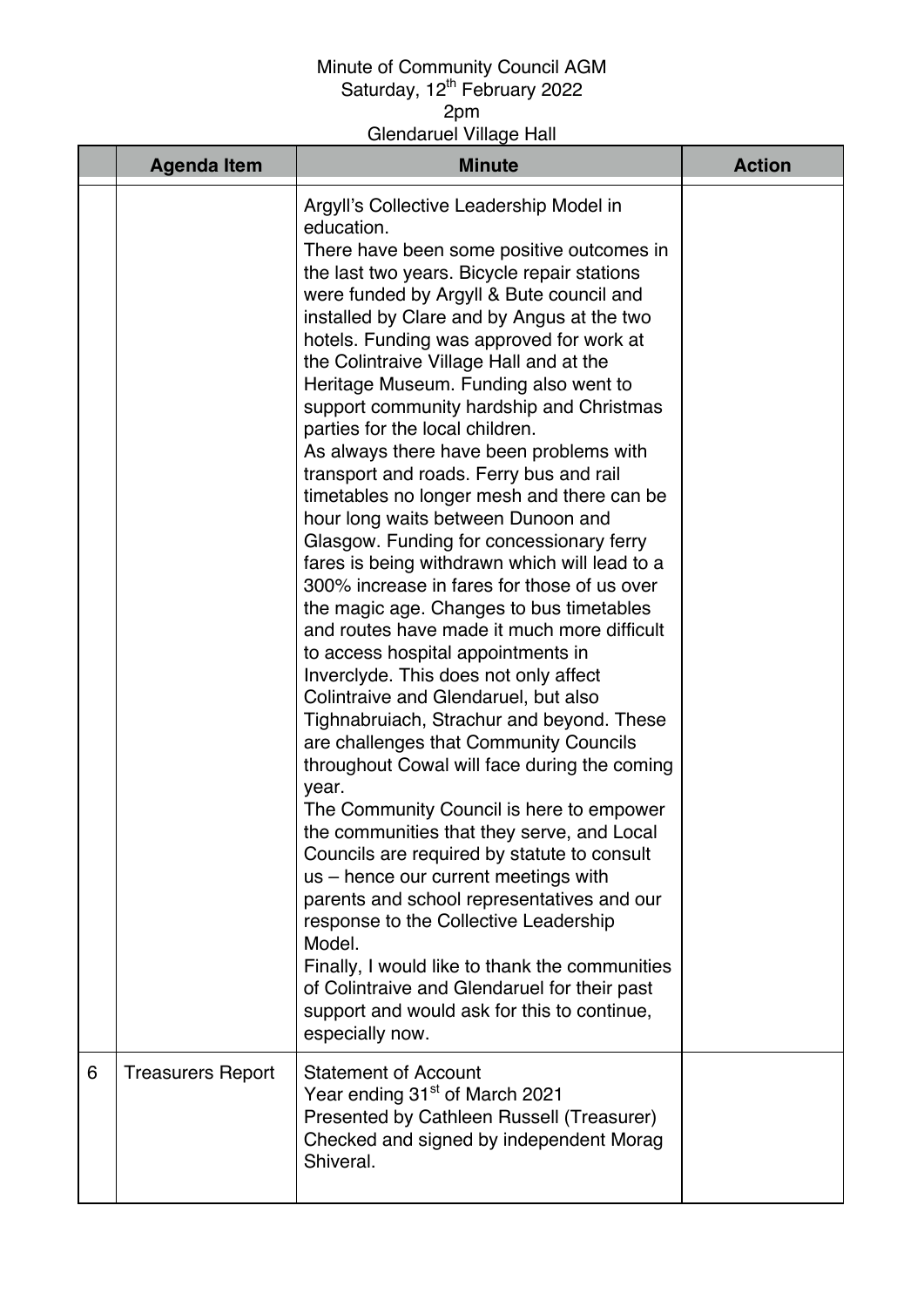## Minute of Community Council AGM Saturday, 12<sup>th</sup> February 2022

2pm

Glendaruel Village Hall

|   | <b>Agenda Item</b>       | <b>Minute</b>                                                                                                                                                                                                                                                                                                                                                                                                                                                                                                                                                                                                                                                                                                                                                                                                                                                                                                                                                                                                                                                                                                                                                                                                                                                                                                                                                                                                                                                                                                                                                                                            | <b>Action</b> |
|---|--------------------------|----------------------------------------------------------------------------------------------------------------------------------------------------------------------------------------------------------------------------------------------------------------------------------------------------------------------------------------------------------------------------------------------------------------------------------------------------------------------------------------------------------------------------------------------------------------------------------------------------------------------------------------------------------------------------------------------------------------------------------------------------------------------------------------------------------------------------------------------------------------------------------------------------------------------------------------------------------------------------------------------------------------------------------------------------------------------------------------------------------------------------------------------------------------------------------------------------------------------------------------------------------------------------------------------------------------------------------------------------------------------------------------------------------------------------------------------------------------------------------------------------------------------------------------------------------------------------------------------------------|---------------|
|   |                          | Argyll's Collective Leadership Model in<br>education.<br>There have been some positive outcomes in<br>the last two years. Bicycle repair stations<br>were funded by Argyll & Bute council and<br>installed by Clare and by Angus at the two<br>hotels. Funding was approved for work at<br>the Colintraive Village Hall and at the<br>Heritage Museum. Funding also went to<br>support community hardship and Christmas<br>parties for the local children.<br>As always there have been problems with<br>transport and roads. Ferry bus and rail<br>timetables no longer mesh and there can be<br>hour long waits between Dunoon and<br>Glasgow. Funding for concessionary ferry<br>fares is being withdrawn which will lead to a<br>300% increase in fares for those of us over<br>the magic age. Changes to bus timetables<br>and routes have made it much more difficult<br>to access hospital appointments in<br>Inverclyde. This does not only affect<br>Colintraive and Glendaruel, but also<br>Tighnabruiach, Strachur and beyond. These<br>are challenges that Community Councils<br>throughout Cowal will face during the coming<br>year.<br>The Community Council is here to empower<br>the communities that they serve, and Local<br>Councils are required by statute to consult<br>us – hence our current meetings with<br>parents and school representatives and our<br>response to the Collective Leadership<br>Model.<br>Finally, I would like to thank the communities<br>of Colintraive and Glendaruel for their past<br>support and would ask for this to continue,<br>especially now. |               |
| 6 | <b>Treasurers Report</b> | <b>Statement of Account</b><br>Year ending 31 <sup>st</sup> of March 2021<br>Presented by Cathleen Russell (Treasurer)<br>Checked and signed by independent Morag<br>Shiveral.                                                                                                                                                                                                                                                                                                                                                                                                                                                                                                                                                                                                                                                                                                                                                                                                                                                                                                                                                                                                                                                                                                                                                                                                                                                                                                                                                                                                                           |               |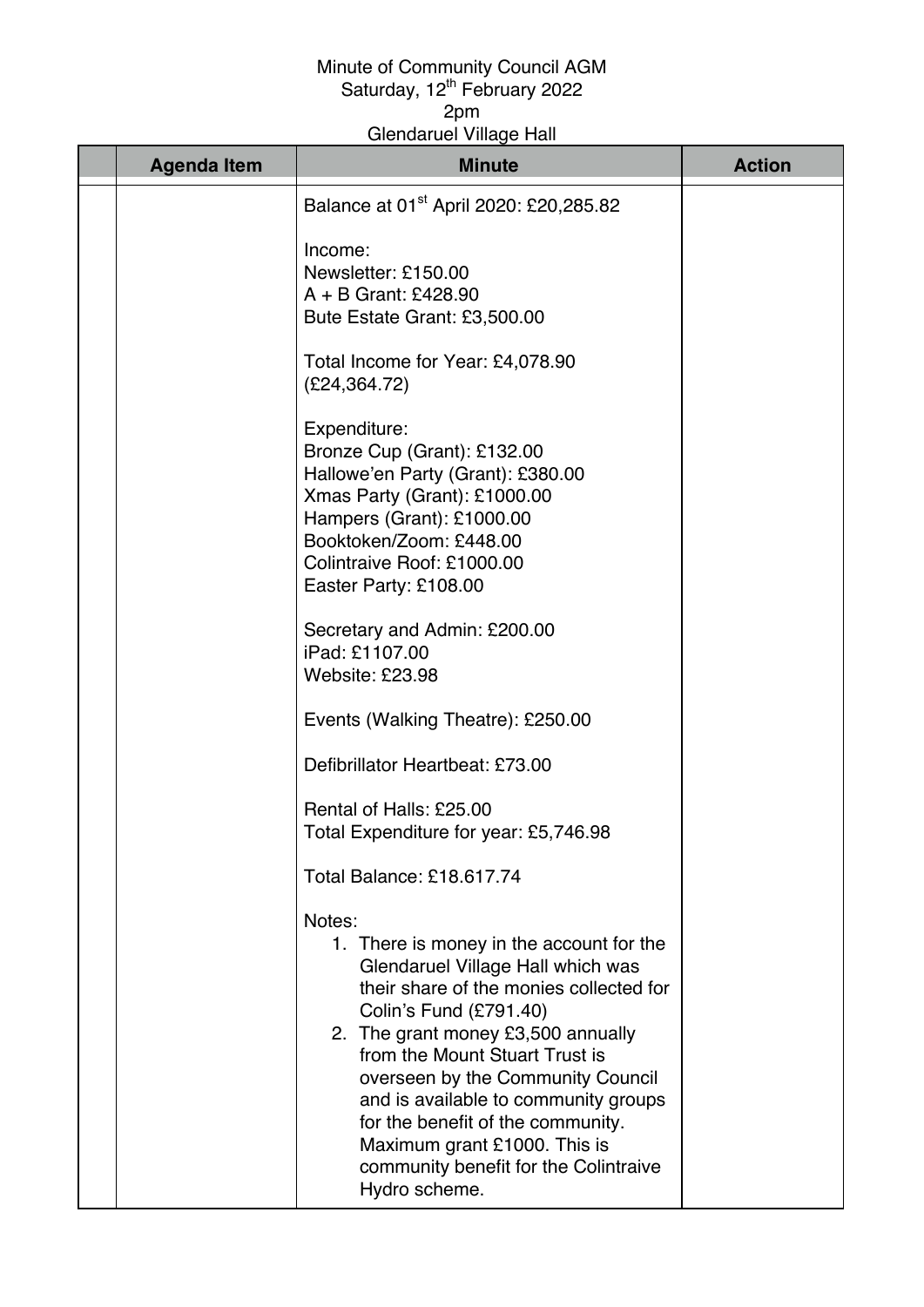## Minute of Community Council AGM Saturday, 12<sup>th</sup> February 2022 2pm

Glendaruel Village Hall

| <b>Agenda Item</b> | <b>Minute</b>                                                                                                                                                                                                                                                                                                                                                                                                                                    | <b>Action</b> |
|--------------------|--------------------------------------------------------------------------------------------------------------------------------------------------------------------------------------------------------------------------------------------------------------------------------------------------------------------------------------------------------------------------------------------------------------------------------------------------|---------------|
|                    | Balance at 01 <sup>st</sup> April 2020: £20,285.82                                                                                                                                                                                                                                                                                                                                                                                               |               |
|                    | Income:<br>Newsletter: £150.00<br>$A + B$ Grant: £428.90<br>Bute Estate Grant: £3,500.00                                                                                                                                                                                                                                                                                                                                                         |               |
|                    | Total Income for Year: £4,078.90<br>(E24, 364.72)                                                                                                                                                                                                                                                                                                                                                                                                |               |
|                    | Expenditure:<br>Bronze Cup (Grant): £132.00<br>Hallowe'en Party (Grant): £380.00<br>Xmas Party (Grant): £1000.00<br>Hampers (Grant): £1000.00<br>Booktoken/Zoom: £448.00<br>Colintraive Roof: £1000.00<br>Easter Party: £108.00                                                                                                                                                                                                                  |               |
|                    | Secretary and Admin: £200.00<br>iPad: £1107.00<br>Website: £23.98                                                                                                                                                                                                                                                                                                                                                                                |               |
|                    | Events (Walking Theatre): £250.00                                                                                                                                                                                                                                                                                                                                                                                                                |               |
|                    | Defibrillator Heartbeat: £73.00                                                                                                                                                                                                                                                                                                                                                                                                                  |               |
|                    | Rental of Halls: £25.00<br>Total Expenditure for year: £5,746.98                                                                                                                                                                                                                                                                                                                                                                                 |               |
|                    | <b>Total Balance: £18.617.74</b>                                                                                                                                                                                                                                                                                                                                                                                                                 |               |
|                    | Notes:<br>1. There is money in the account for the<br>Glendaruel Village Hall which was<br>their share of the monies collected for<br>Colin's Fund (£791.40)<br>2. The grant money £3,500 annually<br>from the Mount Stuart Trust is<br>overseen by the Community Council<br>and is available to community groups<br>for the benefit of the community.<br>Maximum grant £1000. This is<br>community benefit for the Colintraive<br>Hydro scheme. |               |